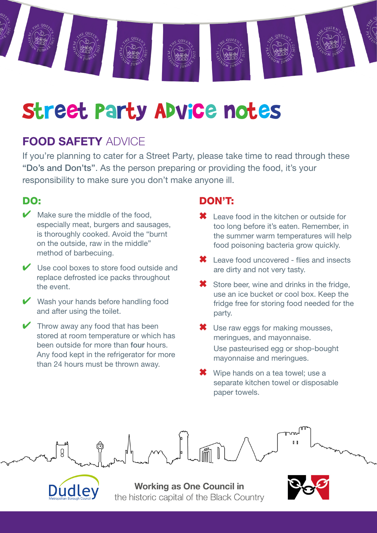

# Street Party Advice notes

# FOOD SAFETY ADVICE

If you're planning to cater for a Street Party, please take time to read through these "Do's and Don'ts". As the person preparing or providing the food, it's your responsibility to make sure you don't make anyone ill.

#### DO:

- $\blacktriangleright$  Make sure the middle of the food. especially meat, burgers and sausages, is thoroughly cooked. Avoid the "burnt on the outside, raw in the middle" method of barbecuing.
- $\vee$  Use cool boxes to store food outside and replace defrosted ice packs throughout the event.
- ◆ Wash your hands before handling food and after using the toilet.
- $\blacktriangleright$  Throw away any food that has been stored at room temperature or which has been outside for more than four hours. Any food kept in the refrigerator for more than 24 hours must be thrown away.

#### DON'T:

- Leave food in the kitchen or outside for too long before it's eaten. Remember, in the summer warm temperatures will help food poisoning bacteria grow quickly.
- ✖ Leave food uncovered flies and insects are dirty and not very tasty.
- **<sup>■</sup>** Store beer, wine and drinks in the fridge, use an ice bucket or cool box. Keep the fridge free for storing food needed for the party.
- ✖ Use raw eggs for making mousses, meringues, and mayonnaise. Use pasteurised egg or shop-bought mayonnaise and meringues.
- ✖ Wipe hands on a tea towel; use a separate kitchen towel or disposable paper towels.





**Working as One Council in** the historic capital of the Black Country

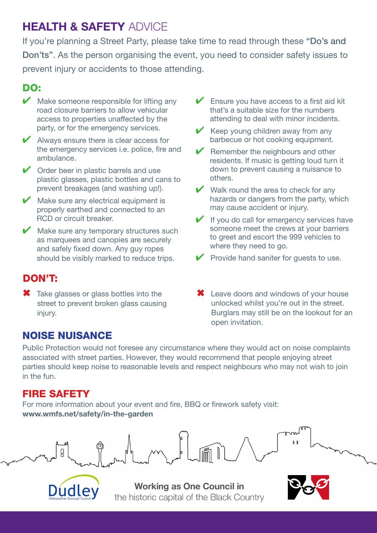# HEALTH & SAFETY ADVICE

If you're planning a Street Party, please take time to read through these "Do's and Don'ts". As the person organising the event, you need to consider safety issues to prevent injury or accidents to those attending.

### DO:

- $\blacktriangleright$  Make someone responsible for lifting any road closure barriers to allow vehicular access to properties unaffected by the party, or for the emergency services.
- $\vee$  Always ensure there is clear access for the emergency services i.e. police, fire and ambulance.
- $\vee$  Order beer in plastic barrels and use plastic glasses, plastic bottles and cans to prevent breakages (and washing up!).
- $\blacktriangleright$  Make sure any electrical equipment is properly earthed and connected to an RCD or circuit breaker.

 $\blacktriangleright$  Make sure any temporary structures such as marquees and canopies are securely and safely fixed down. Any guy ropes should be visibly marked to reduce trips.

- DON'T:
- ✖ Take glasses or glass bottles into the street to prevent broken glass causing injury.

that's a suitable size for the numbers attending to deal with minor incidents.  $\vee$  Keep young children away from any barbecue or hot cooking equipment.

Ensure you have access to a first aid kit

Remember the neighbours and other residents. If music is getting loud turn it down to prevent causing a nuisance to others.

- $\vee$  Walk round the area to check for any hazards or dangers from the party, which may cause accident or injury.
- $\blacktriangleright$  If you do call for emergency services have someone meet the crews at your barriers to greet and escort the 999 vehicles to where they need to go.
- ✔ Provide hand saniter for guests to use.
- ✖ Leave doors and windows of your house unlocked whilst you're out in the street. Burglars may still be on the lookout for an open invitation.

## NOISE NUISANCE

Public Protection would not foresee any circumstance where they would act on noise complaints associated with street parties. However, they would recommend that people enjoying street parties should keep noise to reasonable levels and respect neighbours who may not wish to join in the fun.

## FIRE SAFETY

For more information about your event and fire, BBQ or firework safety visit: www.wmfs.net/safety/in-the-garden





**Working as One Council in** the historic capital of the Black Country